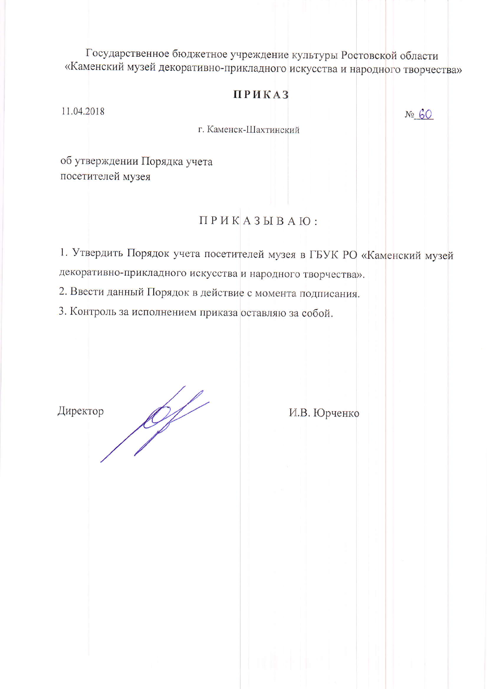Государственное бюджетное учреждение культуры Ростовской области «Каменский музей декоративно-прикладного искусства и народного творчества»

## **ПРИКАЗ**

11.04.2018

 $N_2$   $60$ 

г. Каменск-Шахтинский

об утверждении Порядка учета посетителей музея

## ПРИКАЗЫВАЮ:

1. Утвердить Порядок учета посетителей музея в ГБУК РО «Каменский музей декоративно-прикладного искусства и народного творчества».

2. Ввести данный Порядок в действие с момента подписания.

3. Контроль за исполнением приказа оставляю за собой.

Директор

 $\mathscr{L}$ 

И.В. Юрченко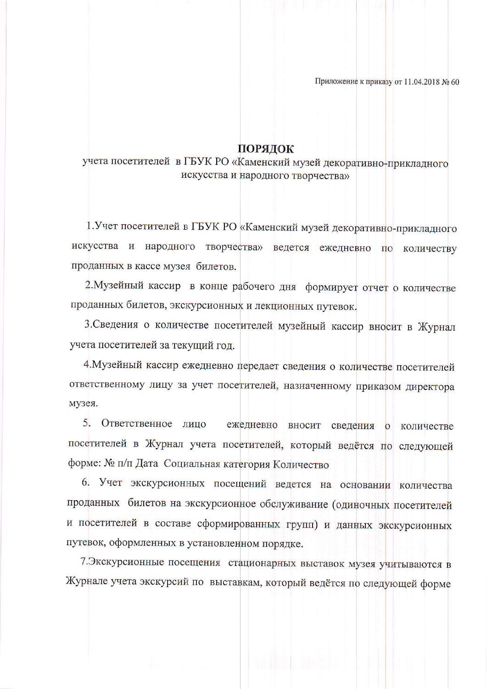Приложение к приказу от 11.04.2018 № 60

## ПОРЯДОК

учета посетителей в ГБУК РО «Каменский музей декоративно-прикладного искусства и народного творчества»

1. Учет посетителей в ГБУК РО «Каменский музей декоративно-прикладного искусства и народного творчества» ведется ежедневно по количеству проданных в кассе музея билетов.

2. Музейный кассир в конце рабочего дня формирует отчет о количестве проданных билетов, экскурсионных и лекционных путевок.

3. Сведения о количестве посетителей музейный кассир вносит в Журнал учета посетителей за текущий год.

4. Музейный кассир ежедневно передает сведения о количестве посетителей ответственному лицу за учет посетителей, назначенному приказом директора музея.

 $5<sub>-</sub>$ Ответственное лицо ежедневно вносит сведения о количестве посетителей в Журнал учета посетителей, который ведётся по следующей форме: № п/п Дата Социальная категория Количество

6. Учет экскурсионных посещений ведется на основании количества проданных билетов на экскурсионное обслуживание (одиночных посетителей и посетителей в составе сформированных групп) и данных экскурсионных путевок, оформленных в установленном порядке.

7. Экскурсионные посещения стационарных выставок музея учитываются в Журнале учета экскурсий по выставкам, который ведётся по следующей форме